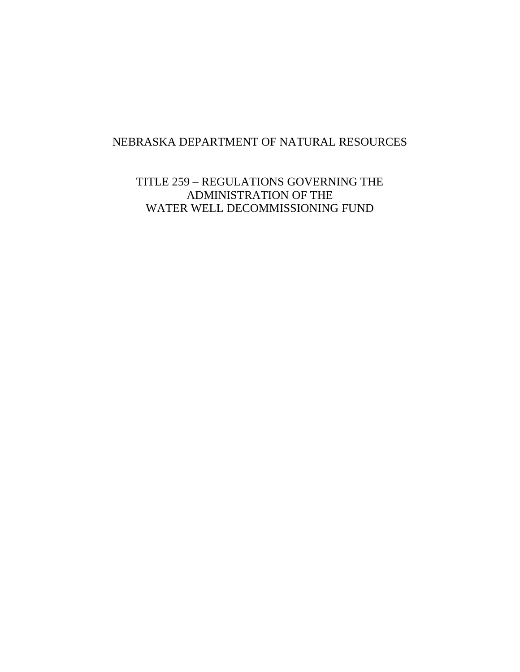# NEBRASKA DEPARTMENT OF NATURAL RESOURCES

TITLE 259 – REGULATIONS GOVERNING THE ADMINISTRATION OF THE WATER WELL DECOMMISSIONING FUND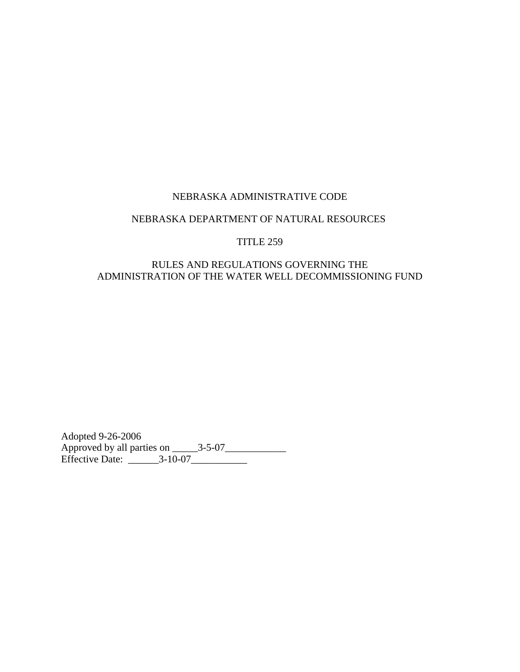#### NEBRASKA DEPARTMENT OF NATURAL RESOURCES

#### TITLE 259

### RULES AND REGULATIONS GOVERNING THE ADMINISTRATION OF THE WATER WELL DECOMMISSIONING FUND

Adopted 9-26-2006 Approved by all parties on \_\_\_\_\_3-5-07\_\_\_\_\_\_\_\_\_\_\_\_ Effective Date: \_\_\_\_\_\_3-10-07\_\_\_\_\_\_\_\_\_\_\_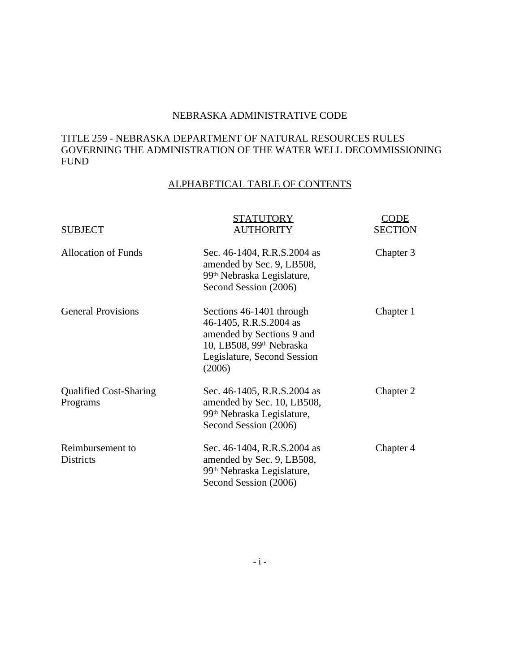### TITLE 259 - NEBRASKA DEPARTMENT OF NATURAL RESOURCES RULES GOVERNING THE ADMINISTRATION OF THE WATER WELL DECOMMISSIONING FUND

# ALPHABETICAL TABLE OF CONTENTS

| <b>SUBJECT</b>                            | STATUTORY<br>AUTHORITY                                                                                                                                           | CODE<br><b>SECTION</b> |
|-------------------------------------------|------------------------------------------------------------------------------------------------------------------------------------------------------------------|------------------------|
| <b>Allocation of Funds</b>                | Sec. 46-1404, R.R.S.2004 as<br>amended by Sec. 9, LB508,<br>99 <sup>th</sup> Nebraska Legislature,<br>Second Session (2006)                                      | Chapter 3              |
| <b>General Provisions</b>                 | Sections 46-1401 through<br>46-1405, R.R.S.2004 as<br>amended by Sections 9 and<br>10, LB508, 99 <sup>th</sup> Nebraska<br>Legislature, Second Session<br>(2006) | Chapter 1              |
| <b>Qualified Cost-Sharing</b><br>Programs | Sec. 46-1405, R.R.S.2004 as<br>amended by Sec. 10, LB508,<br>99 <sup>th</sup> Nebraska Legislature,<br>Second Session (2006)                                     | Chapter 2              |
| Reimbursement to<br>Districts             | Sec. 46-1404, R.R.S.2004 as<br>amended by Sec. 9, LB508,<br>99 <sup>th</sup> Nebraska Legislature,<br>Second Session (2006)                                      | Chapter 4              |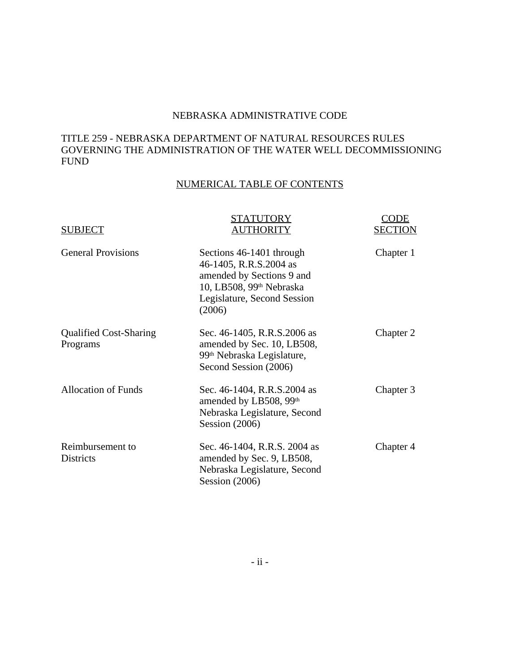### TITLE 259 - NEBRASKA DEPARTMENT OF NATURAL RESOURCES RULES GOVERNING THE ADMINISTRATION OF THE WATER WELL DECOMMISSIONING FUND

# NUMERICAL TABLE OF CONTENTS

| <b>SUBJECT</b>                            | STATUTORY<br>AUTHORITY                                                                                                                                           | CODE<br><b>SECTION</b> |
|-------------------------------------------|------------------------------------------------------------------------------------------------------------------------------------------------------------------|------------------------|
| <b>General Provisions</b>                 | Sections 46-1401 through<br>46-1405, R.R.S.2004 as<br>amended by Sections 9 and<br>10, LB508, 99 <sup>th</sup> Nebraska<br>Legislature, Second Session<br>(2006) | Chapter 1              |
| <b>Qualified Cost-Sharing</b><br>Programs | Sec. 46-1405, R.R.S.2006 as<br>amended by Sec. 10, LB508,<br>99 <sup>th</sup> Nebraska Legislature,<br>Second Session (2006)                                     | Chapter 2              |
| <b>Allocation of Funds</b>                | Sec. 46-1404, R.R.S.2004 as<br>amended by LB508, 99th<br>Nebraska Legislature, Second<br>Session $(2006)$                                                        | Chapter 3              |
| Reimbursement to<br><b>Districts</b>      | Sec. 46-1404, R.R.S. 2004 as<br>amended by Sec. 9, LB508,<br>Nebraska Legislature, Second<br>Session $(2006)$                                                    | Chapter 4              |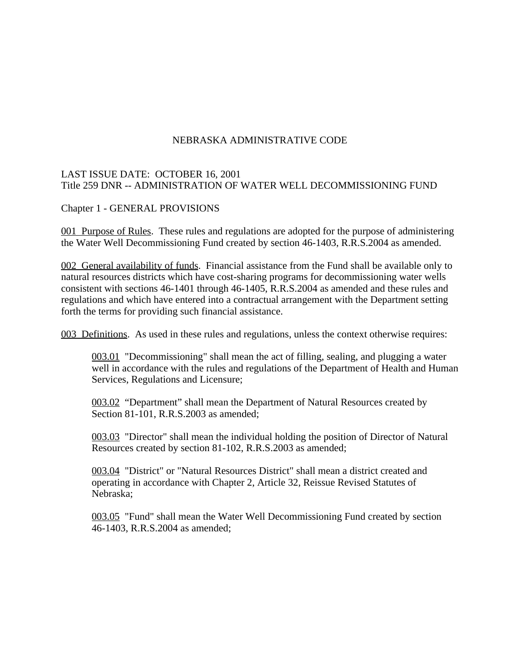### LAST ISSUE DATE: OCTOBER 16, 2001 Title 259 DNR -- ADMINISTRATION OF WATER WELL DECOMMISSIONING FUND

#### Chapter 1 - GENERAL PROVISIONS

001 Purpose of Rules. These rules and regulations are adopted for the purpose of administering the Water Well Decommissioning Fund created by section 46-1403, R.R.S.2004 as amended.

002 General availability of funds. Financial assistance from the Fund shall be available only to natural resources districts which have cost-sharing programs for decommissioning water wells consistent with sections 46-1401 through 46-1405, R.R.S.2004 as amended and these rules and regulations and which have entered into a contractual arrangement with the Department setting forth the terms for providing such financial assistance.

003 Definitions. As used in these rules and regulations, unless the context otherwise requires:

003.01 "Decommissioning" shall mean the act of filling, sealing, and plugging a water well in accordance with the rules and regulations of the Department of Health and Human Services, Regulations and Licensure;

003.02 "Department" shall mean the Department of Natural Resources created by Section 81-101, R.R.S.2003 as amended;

003.03 "Director" shall mean the individual holding the position of Director of Natural Resources created by section 81-102, R.R.S.2003 as amended;

003.04 "District" or "Natural Resources District" shall mean a district created and operating in accordance with Chapter 2, Article 32, Reissue Revised Statutes of Nebraska;

003.05 "Fund" shall mean the Water Well Decommissioning Fund created by section 46-1403, R.R.S.2004 as amended;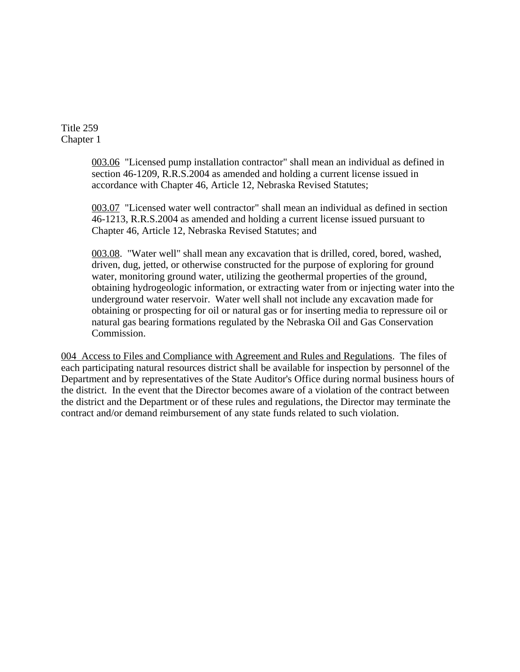Title 259 Chapter 1

> 003.06 "Licensed pump installation contractor" shall mean an individual as defined in section 46-1209, R.R.S.2004 as amended and holding a current license issued in accordance with Chapter 46, Article 12, Nebraska Revised Statutes;

> 003.07 "Licensed water well contractor" shall mean an individual as defined in section 46-1213, R.R.S.2004 as amended and holding a current license issued pursuant to Chapter 46, Article 12, Nebraska Revised Statutes; and

003.08. "Water well" shall mean any excavation that is drilled, cored, bored, washed, driven, dug, jetted, or otherwise constructed for the purpose of exploring for ground water, monitoring ground water, utilizing the geothermal properties of the ground, obtaining hydrogeologic information, or extracting water from or injecting water into the underground water reservoir. Water well shall not include any excavation made for obtaining or prospecting for oil or natural gas or for inserting media to repressure oil or natural gas bearing formations regulated by the Nebraska Oil and Gas Conservation Commission.

004 Access to Files and Compliance with Agreement and Rules and Regulations. The files of each participating natural resources district shall be available for inspection by personnel of the Department and by representatives of the State Auditor's Office during normal business hours of the district. In the event that the Director becomes aware of a violation of the contract between the district and the Department or of these rules and regulations, the Director may terminate the contract and/or demand reimbursement of any state funds related to such violation.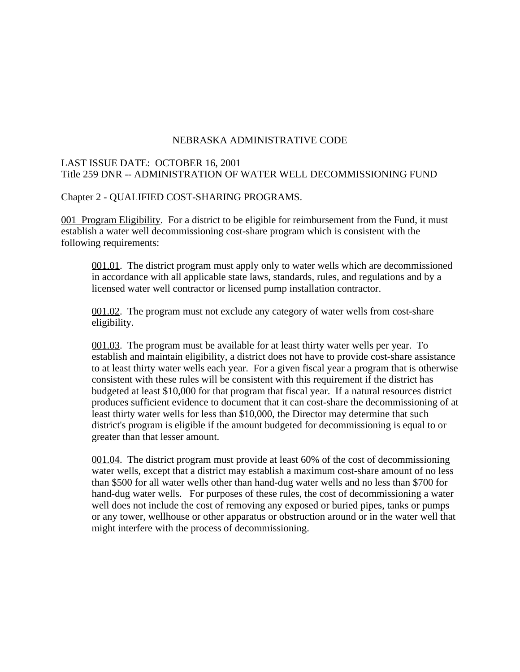### LAST ISSUE DATE: OCTOBER 16, 2001 Title 259 DNR -- ADMINISTRATION OF WATER WELL DECOMMISSIONING FUND

#### Chapter 2 - QUALIFIED COST-SHARING PROGRAMS.

001 Program Eligibility. For a district to be eligible for reimbursement from the Fund, it must establish a water well decommissioning cost-share program which is consistent with the following requirements:

001.01. The district program must apply only to water wells which are decommissioned in accordance with all applicable state laws, standards, rules, and regulations and by a licensed water well contractor or licensed pump installation contractor.

001.02. The program must not exclude any category of water wells from cost-share eligibility.

001.03. The program must be available for at least thirty water wells per year. To establish and maintain eligibility, a district does not have to provide cost-share assistance to at least thirty water wells each year. For a given fiscal year a program that is otherwise consistent with these rules will be consistent with this requirement if the district has budgeted at least \$10,000 for that program that fiscal year. If a natural resources district produces sufficient evidence to document that it can cost-share the decommissioning of at least thirty water wells for less than \$10,000, the Director may determine that such district's program is eligible if the amount budgeted for decommissioning is equal to or greater than that lesser amount.

001.04. The district program must provide at least 60% of the cost of decommissioning water wells, except that a district may establish a maximum cost-share amount of no less than \$500 for all water wells other than hand-dug water wells and no less than \$700 for hand-dug water wells. For purposes of these rules, the cost of decommissioning a water well does not include the cost of removing any exposed or buried pipes, tanks or pumps or any tower, wellhouse or other apparatus or obstruction around or in the water well that might interfere with the process of decommissioning.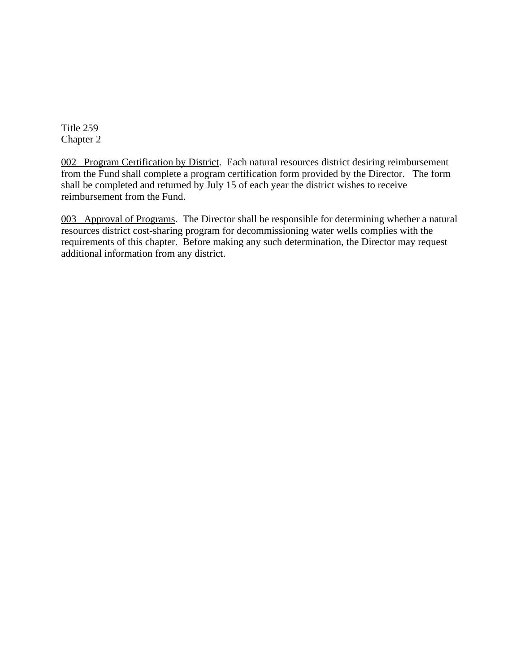Title 259 Chapter 2

002 Program Certification by District. Each natural resources district desiring reimbursement from the Fund shall complete a program certification form provided by the Director. The form shall be completed and returned by July 15 of each year the district wishes to receive reimbursement from the Fund.

003 Approval of Programs. The Director shall be responsible for determining whether a natural resources district cost-sharing program for decommissioning water wells complies with the requirements of this chapter. Before making any such determination, the Director may request additional information from any district.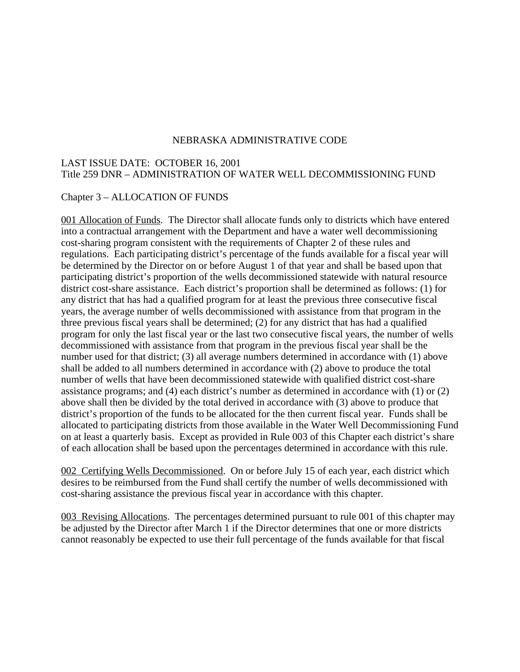#### LAST ISSUE DATE: OCTOBER 16, 2001 Title 259 DNR – ADMINISTRATION OF WATER WELL DECOMMISSIONING FUND

#### Chapter 3 – ALLOCATION OF FUNDS

001 Allocation of Funds. The Director shall allocate funds only to districts which have entered into a contractual arrangement with the Department and have a water well decommissioning cost-sharing program consistent with the requirements of Chapter 2 of these rules and regulations. Each participating district's percentage of the funds available for a fiscal year will be determined by the Director on or before August 1 of that year and shall be based upon that participating district's proportion of the wells decommissioned statewide with natural resource district cost-share assistance. Each district's proportion shall be determined as follows: (1) for any district that has had a qualified program for at least the previous three consecutive fiscal years, the average number of wells decommissioned with assistance from that program in the three previous fiscal years shall be determined; (2) for any district that has had a qualified program for only the last fiscal year or the last two consecutive fiscal years, the number of wells decommissioned with assistance from that program in the previous fiscal year shall be the number used for that district; (3) all average numbers determined in accordance with (1) above shall be added to all numbers determined in accordance with (2) above to produce the total number of wells that have been decommissioned statewide with qualified district cost-share assistance programs; and (4) each district's number as determined in accordance with (1) or (2) above shall then be divided by the total derived in accordance with (3) above to produce that district's proportion of the funds to be allocated for the then current fiscal year. Funds shall be allocated to participating districts from those available in the Water Well Decommissioning Fund on at least a quarterly basis. Except as provided in Rule 003 of this Chapter each district's share of each allocation shall be based upon the percentages determined in accordance with this rule.

002 Certifying Wells Decommissioned. On or before July 15 of each year, each district which desires to be reimbursed from the Fund shall certify the number of wells decommissioned with cost-sharing assistance the previous fiscal year in accordance with this chapter.

003 Revising Allocations. The percentages determined pursuant to rule 001 of this chapter may be adjusted by the Director after March 1 if the Director determines that one or more districts cannot reasonably be expected to use their full percentage of the funds available for that fiscal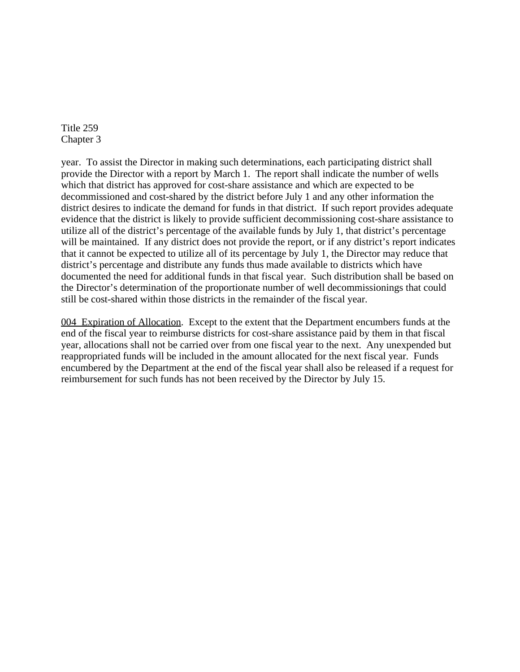Title 259 Chapter 3

year. To assist the Director in making such determinations, each participating district shall provide the Director with a report by March 1. The report shall indicate the number of wells which that district has approved for cost-share assistance and which are expected to be decommissioned and cost-shared by the district before July 1 and any other information the district desires to indicate the demand for funds in that district. If such report provides adequate evidence that the district is likely to provide sufficient decommissioning cost-share assistance to utilize all of the district's percentage of the available funds by July 1, that district's percentage will be maintained. If any district does not provide the report, or if any district's report indicates that it cannot be expected to utilize all of its percentage by July 1, the Director may reduce that district's percentage and distribute any funds thus made available to districts which have documented the need for additional funds in that fiscal year. Such distribution shall be based on the Director's determination of the proportionate number of well decommissionings that could still be cost-shared within those districts in the remainder of the fiscal year.

004 Expiration of Allocation. Except to the extent that the Department encumbers funds at the end of the fiscal year to reimburse districts for cost-share assistance paid by them in that fiscal year, allocations shall not be carried over from one fiscal year to the next. Any unexpended but reappropriated funds will be included in the amount allocated for the next fiscal year. Funds encumbered by the Department at the end of the fiscal year shall also be released if a request for reimbursement for such funds has not been received by the Director by July 15.